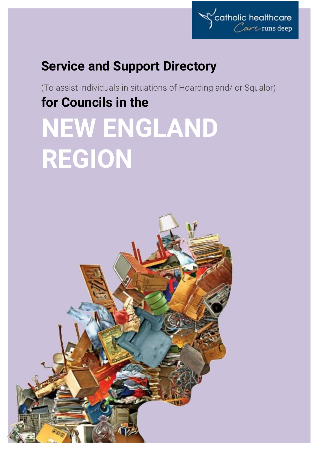

# **Service and Support Directory**

(To assist individuals in situations of Hoarding and/ or Squalor) **for Councils in the NEW ENGLAND REGION**

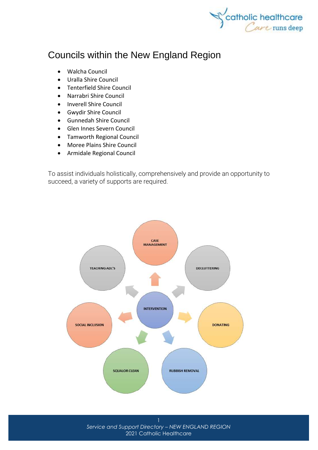

# Councils within the New England Region

- [Walcha Council](http://www.walcha.nsw.gov.au/)
- [Uralla Shire Council](http://www.uralla.nsw.gov.au/)
- [Tenterfield Shire Council](http://www.tenterfield.nsw.gov.au/)
- [Narrabri Shire Council](http://www.narrabri.nsw.gov.au/)
- [Inverell Shire Council](http://www.inverell.nsw.gov.au/)
- [Gwydir Shire Council](http://www.gwydirshire.com/)
- [Gunnedah Shire Council](http://www.gunnedah.nsw.gov.au/)
- [Glen Innes Severn Council](http://www.gisc.nsw.gov.au/)
- [Tamworth Regional Council](http://www.tamworth.nsw.gov.au/)
- [Moree Plains Shire Council](https://www.mpsc.nsw.gov.au/)
- [Armidale Regional Council](http://www.armidaleregional.nsw.gov.au/)

To assist individuals holistically, comprehensively and provide an opportunity to succeed, a variety of supports are required.



*Service and Support Directory – NEW ENGLAND REGION* 2021 Catholic Healthcare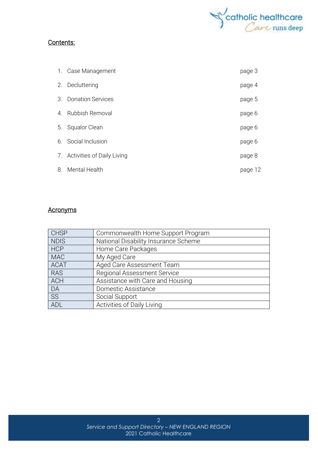

#### Contents:

|                       | 1. Case Management            | page 3  |
|-----------------------|-------------------------------|---------|
| 2.                    | Decluttering                  | page 4  |
| $\mathcal{S}_{\cdot}$ | <b>Donation Services</b>      | page 5  |
| 4.                    | <b>Rubbish Removal</b>        | page 6  |
| 5.                    | <b>Squalor Clean</b>          | page 6  |
|                       | 6. Social Inclusion           | page 6  |
|                       | 7. Activities of Daily Living | page 8  |
| 8.                    | Mental Health                 | page 12 |

#### **Acronyms**

| <b>CHSP</b> | Commonwealth Home Support Program    |
|-------------|--------------------------------------|
| <b>NDIS</b> | National Disability Insurance Scheme |
| <b>HCP</b>  | Home Care Packages                   |
| <b>MAC</b>  | My Aged Care                         |
| <b>ACAT</b> | Aged Care Assessment Team            |
| <b>RAS</b>  | <b>Regional Assessment Service</b>   |
| <b>ACH</b>  | Assistance with Care and Housing     |
| DA          | Domestic Assistance                  |
| <b>SS</b>   | Social Support                       |
| <b>ADL</b>  | Activities of Daily Living           |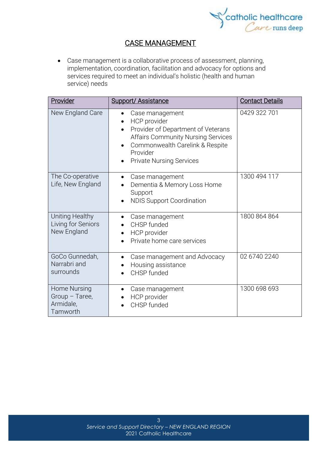

## CASE MANAGEMENT

• Case management is a collaborative process of assessment, planning, implementation, coordination, facilitation and advocacy for options and services required to meet an individual's holistic (health and human service) needs

| Provider                                                | <b>Support/Assistance</b>                                                                                                                                                                                                | <b>Contact Details</b> |
|---------------------------------------------------------|--------------------------------------------------------------------------------------------------------------------------------------------------------------------------------------------------------------------------|------------------------|
| New England Care                                        | Case management<br><b>HCP</b> provider<br>$\bullet$<br>Provider of Department of Veterans<br><b>Affairs Community Nursing Services</b><br>Commonwealth Carelink & Respite<br>Provider<br><b>Private Nursing Services</b> | 0429 322 701           |
| The Co-operative<br>Life, New England                   | Case management<br>Dementia & Memory Loss Home<br>Support<br><b>NDIS Support Coordination</b><br>$\bullet$                                                                                                               | 1300 494 117           |
| Uniting Healthy<br>Living for Seniors<br>New England    | Case management<br>CHSP funded<br>HCP provider<br>Private home care services                                                                                                                                             | 1800 864 864           |
| GoCo Gunnedah,<br>Narrabri and<br>surrounds             | Case management and Advocacy<br>$\bullet$<br>Housing assistance<br>CHSP funded                                                                                                                                           | 02 6740 2240           |
| Home Nursing<br>Group - Taree,<br>Armidale,<br>Tamworth | Case management<br>HCP provider<br>CHSP funded                                                                                                                                                                           | 1300 698 693           |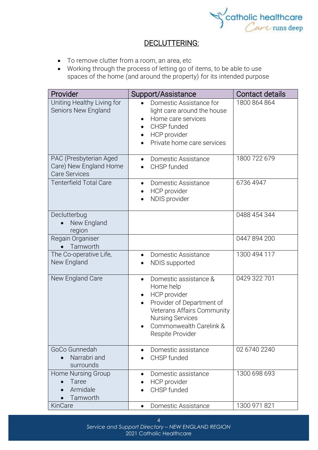

## DECLUTTERING:

- To remove clutter from a room, an area, etc
- Working through the process of letting go of items, to be able to use spaces of the home (and around the property) for its intended purpose

| Provider                                                                 | Support/Assistance                                                                                                                                                                                   | Contact details |
|--------------------------------------------------------------------------|------------------------------------------------------------------------------------------------------------------------------------------------------------------------------------------------------|-----------------|
| Uniting Healthy Living for<br>Seniors New England                        | Domestic Assistance for<br>light care around the house<br>Home care services<br>CHSP funded<br>HCP provider<br>$\bullet$<br>Private home care services                                               | 1800 864 864    |
| PAC (Presbyterian Aged<br>Care) New England Home<br><b>Care Services</b> | Domestic Assistance<br>$\bullet$<br>CHSP funded<br>$\bullet$                                                                                                                                         | 1800 722 679    |
| <b>Tenterfield Total Care</b>                                            | Domestic Assistance<br>$\bullet$<br>HCP provider<br>NDIS provider                                                                                                                                    | 6736 4947       |
| Declutterbug<br>New England<br>region                                    |                                                                                                                                                                                                      | 0488 454 344    |
| Regain Organiser<br>Tamworth                                             |                                                                                                                                                                                                      | 0447 894 200    |
| The Co-operative Life,<br>New England                                    | Domestic Assistance<br>$\bullet$<br>NDIS supported                                                                                                                                                   | 1300 494 117    |
| New England Care                                                         | Domestic assistance &<br>$\bullet$<br>Home help<br>HCP provider<br>Provider of Department of<br>Veterans Affairs Community<br><b>Nursing Services</b><br>Commonwealth Carelink &<br>Respite Provider | 0429 322 701    |
| GoCo Gunnedah<br>Narrabri and<br>surrounds                               | Domestic assistance<br>$\bullet$<br>CHSP funded                                                                                                                                                      | 02 6740 2240    |
| Home Nursing Group<br>Taree<br>Armidale<br>Tamworth                      | Domestic assistance<br>HCP provider<br>CHSP funded                                                                                                                                                   | 1300 698 693    |
| KinCare                                                                  | Domestic Assistance<br>٠                                                                                                                                                                             | 1300 971 821    |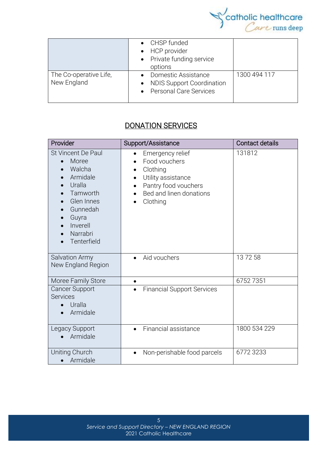

|                                       | • CHSP funded<br>• HCP provider<br>• Private funding service<br>options             |              |
|---------------------------------------|-------------------------------------------------------------------------------------|--------------|
| The Co-operative Life,<br>New England | Domestic Assistance<br><b>NDIS Support Coordination</b><br>• Personal Care Services | 1300 494 117 |

## DONATION SERVICES

| Provider                                                                                                                                                              | Support/Assistance                                                                                                                                           | <b>Contact details</b> |
|-----------------------------------------------------------------------------------------------------------------------------------------------------------------------|--------------------------------------------------------------------------------------------------------------------------------------------------------------|------------------------|
| <b>St Vincent De Paul</b><br>Moree<br>$\bullet$<br>Walcha<br>Armidale<br>Uralla<br>Tamworth<br>Glen Innes<br>Gunnedah<br>Guyra<br>Inverell<br>Narrabri<br>Tenterfield | Emergency relief<br>Food vouchers<br>Clothing<br>$\bullet$<br>Utility assistance<br>Pantry food vouchers<br>$\bullet$<br>Bed and linen donations<br>Clothing | 131812                 |
| Salvation Army<br>New England Region                                                                                                                                  | Aid vouchers<br>$\bullet$                                                                                                                                    | 137258                 |
| Moree Family Store                                                                                                                                                    | $\bullet$                                                                                                                                                    | 67527351               |
| <b>Cancer Support</b><br><b>Services</b><br>Uralla<br>Armidale                                                                                                        | <b>Financial Support Services</b><br>$\bullet$                                                                                                               |                        |
| Legacy Support<br>Armidale                                                                                                                                            | Financial assistance                                                                                                                                         | 1800 534 229           |
| Uniting Church<br>Armidale                                                                                                                                            | Non-perishable food parcels                                                                                                                                  | 6772 3233              |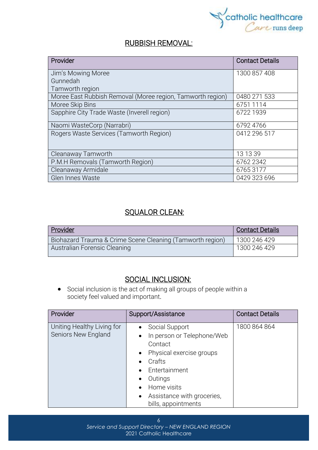

### RUBBISH REMOVAL:

| Provider                                                   | <b>Contact Details</b> |
|------------------------------------------------------------|------------------------|
| Jim's Mowing Moree                                         | 1300 857 408           |
| Gunnedah                                                   |                        |
| Tamworth region                                            |                        |
| Moree East Rubbish Removal (Moree region, Tamworth region) | 0480 271 533           |
| Moree Skip Bins                                            | 6751 1114              |
| Sapphire City Trade Waste (Inverell region)                | 6722 1939              |
| Naomi WasteCorp (Narrabri)                                 | 6792 4766              |
| Rogers Waste Services (Tamworth Region)                    | 0412 296 517           |
| Cleanaway Tamworth                                         | 13 13 39               |
| P.M.H Removals (Tamworth Region)                           | 6762 2342              |
| Cleanaway Armidale                                         | 67653177               |
| <b>Glen Innes Waste</b>                                    | 0429 323 696           |

### SQUALOR CLEAN:

| <b>Provider</b>                                           | <b>Contact Details</b> |
|-----------------------------------------------------------|------------------------|
| Biohazard Trauma & Crime Scene Cleaning (Tamworth region) | 1300 246 429           |
| Australian Forensic Cleaning                              | 1300 246 429           |

## SOCIAL INCLUSION:

• Social [inclusion](https://www.collinsdictionary.com/dictionary/english/inclusion) is the act of making all groups of people within a society [feel](https://www.collinsdictionary.com/dictionary/english/feel) valued and [important](https://www.collinsdictionary.com/dictionary/english/important).

| Provider                                          | Support/Assistance                                                                                                                                                                                                                                                                       | <b>Contact Details</b> |
|---------------------------------------------------|------------------------------------------------------------------------------------------------------------------------------------------------------------------------------------------------------------------------------------------------------------------------------------------|------------------------|
| Uniting Healthy Living for<br>Seniors New England | Social Support<br>$\bullet$<br>In person or Telephone/Web<br>$\bullet$<br>Contact<br>Physical exercise groups<br>$\bullet$<br>Crafts<br>Entertainment<br>$\bullet$<br>Outings<br>$\bullet$<br>Home visits<br>$\bullet$<br>Assistance with groceries,<br>$\bullet$<br>bills, appointments | 1800 864 864           |

6 *Service and Support Directory – NEW ENGLAND REGION* 2021 Catholic Healthcare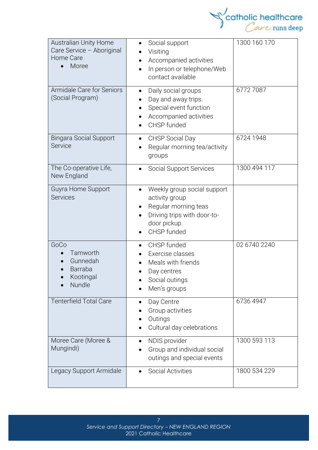

| <b>Australian Unity Home</b><br>Care Service - Aboriginal<br>Home Care<br>Moree | Social support<br>$\bullet$<br>Visiting<br>Accompanied activities<br>In person or telephone/Web<br>$\bullet$<br>contact available                | 1300 160 170 |
|---------------------------------------------------------------------------------|--------------------------------------------------------------------------------------------------------------------------------------------------|--------------|
| Armidale Care for Seniors<br>(Social Program)                                   | Daily social groups<br>$\bullet$<br>Day and away trips.<br>Special event function<br>Accompanied activities<br>CHSP funded                       | 67727087     |
| <b>Bingara Social Support</b><br><b>Service</b>                                 | <b>CHSP Social Day</b><br>$\bullet$<br>Regular morning tea/activity<br>groups                                                                    | 6724 1948    |
| The Co-operative Life,<br>New England                                           | <b>Social Support Services</b><br>$\bullet$                                                                                                      | 1300 494 117 |
| Guyra Home Support<br><b>Services</b>                                           | Weekly group social support<br>$\bullet$<br>activity group<br>Regular morning teas<br>Driving trips with door-to-<br>door pickup.<br>CHSP funded |              |
| GoCo<br>Tamworth<br>Gunnedah<br>Barraba<br>Kootingal<br>Nundle                  | CHSP funded<br>$\bullet$<br>Exercise classes<br>Meals with friends<br>Day centres<br>Social outings<br>Men's groups                              | 02 6740 2240 |
| <b>Tenterfield Total Care</b>                                                   | Day Centre<br>Group activities<br>Outings<br>Cultural day celebrations                                                                           | 6736 4947    |
| Moree Care (Moree &<br>Mungindi)                                                | NDIS provider<br>$\bullet$<br>Group and individual social<br>outings and special events                                                          | 1300 593 113 |
| Legacy Support Armidale                                                         | <b>Social Activities</b>                                                                                                                         | 1800 534 229 |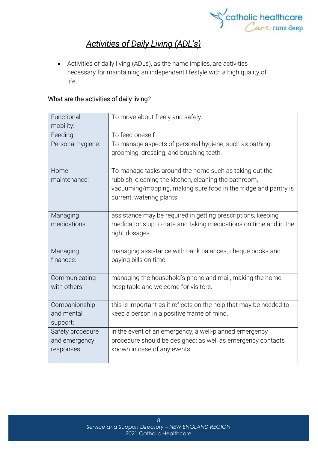

## *Activities of Daily Living (ADL's)*

• Activities of daily living (ADLs), as the name implies, are activities necessary for maintaining an independent lifestyle with a high quality of life.

#### What are the activities of daily living*?*

| Functional<br>mobility:                         | To move about freely and safely.                                                                                                                      |
|-------------------------------------------------|-------------------------------------------------------------------------------------------------------------------------------------------------------|
| Feeding                                         | To feed oneself                                                                                                                                       |
| Personal hygiene:                               | To manage aspects of personal hygiene, such as bathing,<br>grooming, dressing, and brushing teeth.                                                    |
| Home                                            | To manage tasks around the home such as taking out the                                                                                                |
| maintenance:                                    | rubbish, cleaning the kitchen, cleaning the bathroom,<br>vacuuming/mopping, making sure food in the fridge and pantry is<br>current, watering plants. |
| Managing<br>medications:                        | assistance may be required in getting prescriptions, keeping<br>medications up to date and taking medications on time and in the<br>right dosages.    |
| Managing<br>finances:                           | managing assistance with bank balances, cheque books and<br>paying bills on time                                                                      |
| Communicating<br>with others:                   | managing the household's phone and mail, making the home<br>hospitable and welcome for visitors.                                                      |
| Companionship<br>and mental                     | this is important as it reflects on the help that may be needed to                                                                                    |
| support:                                        | keep a person in a positive frame of mind.                                                                                                            |
| Safety procedure<br>and emergency<br>responses: | in the event of an emergency, a well-planned emergency<br>procedure should be designed; as well as emergency contacts<br>known in case of any events. |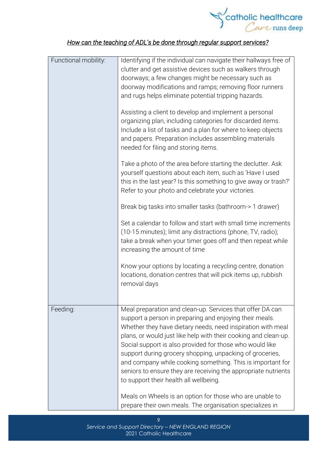

## *How can the teaching of ADL's be done through regular support services?*

| Functional mobility: | Identifying if the individual can navigate their hallways free of<br>clutter and get assistive devices such as walkers through<br>doorways; a few changes might be necessary such as<br>doorway modifications and ramps; removing floor runners<br>and rugs helps eliminate potential tripping hazards.                                                                                                                                                                                                                                                  |
|----------------------|----------------------------------------------------------------------------------------------------------------------------------------------------------------------------------------------------------------------------------------------------------------------------------------------------------------------------------------------------------------------------------------------------------------------------------------------------------------------------------------------------------------------------------------------------------|
|                      | Assisting a client to develop and implement a personal<br>organizing plan, including categories for discarded items.<br>Include a list of tasks and a plan for where to keep objects<br>and papers. Preparation includes assembling materials<br>needed for filing and storing items.                                                                                                                                                                                                                                                                    |
|                      | Take a photo of the area before starting the declutter. Ask<br>yourself questions about each item, such as 'Have I used<br>this in the last year? Is this something to give away or trash?'<br>Refer to your photo and celebrate your victories.                                                                                                                                                                                                                                                                                                         |
|                      | Break big tasks into smaller tasks (bathroom-> 1 drawer)                                                                                                                                                                                                                                                                                                                                                                                                                                                                                                 |
|                      | Set a calendar to follow and start with small time increments<br>(10-15 minutes); limit any distractions (phone, TV, radio);<br>take a break when your timer goes off and then repeat while<br>increasing the amount of time                                                                                                                                                                                                                                                                                                                             |
|                      | Know your options by locating a recycling centre, donation<br>locations, donation centres that will pick items up, rubbish<br>removal days                                                                                                                                                                                                                                                                                                                                                                                                               |
| Feeding:             | Meal preparation and clean-up. Services that offer DA can<br>support a person in preparing and enjoying their meals.<br>Whether they have dietary needs, need inspiration with meal<br>plans, or would just like help with their cooking and clean-up.<br>Social support is also provided for those who would like<br>support during grocery shopping, unpacking of groceries,<br>and company while cooking something. This is important for<br>seniors to ensure they are receiving the appropriate nutrients<br>to support their health all wellbeing. |
|                      | Meals on Wheels is an option for those who are unable to<br>prepare their own meals. The organisation specializes in                                                                                                                                                                                                                                                                                                                                                                                                                                     |

9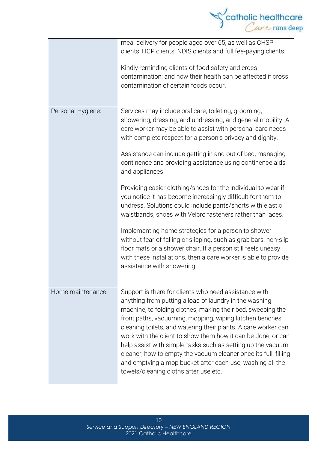

|                   | meal delivery for people aged over 65, as well as CHSP<br>clients, HCP clients, NDIS clients and full fee-paying clients.<br>Kindly reminding clients of food safety and cross<br>contamination; and how their health can be affected if cross<br>contamination of certain foods occur.                                                                                                                                                                                                                                                                                                                              |
|-------------------|----------------------------------------------------------------------------------------------------------------------------------------------------------------------------------------------------------------------------------------------------------------------------------------------------------------------------------------------------------------------------------------------------------------------------------------------------------------------------------------------------------------------------------------------------------------------------------------------------------------------|
| Personal Hygiene: | Services may include oral care, toileting, grooming,<br>showering, dressing, and undressing, and general mobility. A<br>care worker may be able to assist with personal care needs<br>with complete respect for a person's privacy and dignity.<br>Assistance can include getting in and out of bed, managing<br>continence and providing assistance using continence aids<br>and appliances.                                                                                                                                                                                                                        |
|                   | Providing easier clothing/shoes for the individual to wear if<br>you notice it has become increasingly difficult for them to<br>undress. Solutions could include pants/shorts with elastic<br>waistbands, shoes with Velcro fasteners rather than laces.                                                                                                                                                                                                                                                                                                                                                             |
|                   | Implementing home strategies for a person to shower<br>without fear of falling or slipping, such as grab bars, non-slip<br>floor mats or a shower chair. If a person still feels uneasy<br>with these installations, then a care worker is able to provide<br>assistance with showering.                                                                                                                                                                                                                                                                                                                             |
| Home maintenance: | Support is there for clients who need assistance with<br>anything from putting a load of laundry in the washing<br>machine, to folding clothes, making their bed, sweeping the<br>front paths, vacuuming, mopping, wiping kitchen benches,<br>cleaning toilets, and watering their plants. A care worker can<br>work with the client to show them how it can be done, or can<br>help assist with simple tasks such as setting up the vacuum<br>cleaner, how to empty the vacuum cleaner once its full, filling<br>and emptying a mop bucket after each use, washing all the<br>towels/cleaning cloths after use etc. |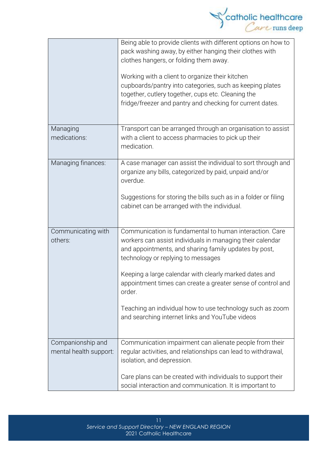

|                                             | Being able to provide clients with different options on how to<br>pack washing away, by either hanging their clothes with<br>clothes hangers, or folding them away.<br>Working with a client to organize their kitchen<br>cupboards/pantry into categories, such as keeping plates<br>together, cutlery together, cups etc. Cleaning the<br>fridge/freezer and pantry and checking for current dates.                                                                  |
|---------------------------------------------|------------------------------------------------------------------------------------------------------------------------------------------------------------------------------------------------------------------------------------------------------------------------------------------------------------------------------------------------------------------------------------------------------------------------------------------------------------------------|
| Managing<br>medications:                    | Transport can be arranged through an organisation to assist<br>with a client to access pharmacies to pick up their<br>medication.                                                                                                                                                                                                                                                                                                                                      |
| Managing finances:                          | A case manager can assist the individual to sort through and<br>organize any bills, categorized by paid, unpaid and/or<br>overdue.<br>Suggestions for storing the bills such as in a folder or filing<br>cabinet can be arranged with the individual.                                                                                                                                                                                                                  |
| Communicating with<br>others:               | Communication is fundamental to human interaction. Care<br>workers can assist individuals in managing their calendar<br>and appointments, and sharing family updates by post,<br>technology or replying to messages<br>Keeping a large calendar with clearly marked dates and<br>appointment times can create a greater sense of control and<br>order.<br>Teaching an individual how to use technology such as zoom<br>and searching internet links and YouTube videos |
| Companionship and<br>mental health support: | Communication impairment can alienate people from their<br>regular activities, and relationships can lead to withdrawal,<br>isolation, and depression.<br>Care plans can be created with individuals to support their<br>social interaction and communication. It is important to                                                                                                                                                                                      |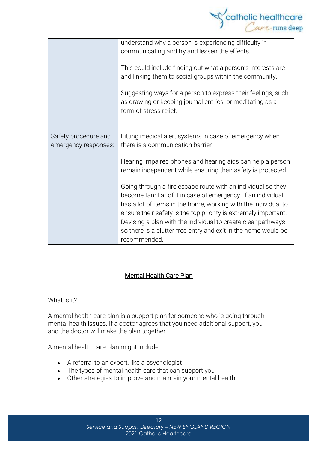

|                                              | understand why a person is experiencing difficulty in<br>communicating and try and lessen the effects.<br>This could include finding out what a person's interests are<br>and linking them to social groups within the community.<br>Suggesting ways for a person to express their feelings, such<br>as drawing or keeping journal entries, or meditating as a<br>form of stress relief. |
|----------------------------------------------|------------------------------------------------------------------------------------------------------------------------------------------------------------------------------------------------------------------------------------------------------------------------------------------------------------------------------------------------------------------------------------------|
| Safety procedure and<br>emergency responses: | Fitting medical alert systems in case of emergency when<br>there is a communication barrier                                                                                                                                                                                                                                                                                              |
|                                              | Hearing impaired phones and hearing aids can help a person<br>remain independent while ensuring their safety is protected.                                                                                                                                                                                                                                                               |
|                                              | Going through a fire escape route with an individual so they<br>become familiar of it in case of emergency. If an individual<br>has a lot of items in the home, working with the individual to<br>ensure their safety is the top priority is extremely important.                                                                                                                        |
|                                              | Devising a plan with the individual to create clear pathways<br>so there is a clutter free entry and exit in the home would be<br>recommended.                                                                                                                                                                                                                                           |

#### Mental Health Care Plan

#### What is it?

A mental health care plan is a support plan for someone who is going through mental health issues. If a doctor agrees that you need additional support, you and the doctor will make the plan together.

#### A mental health care plan might include:

- A referral to an expert, like a psychologist
- The types of mental health care that can support you
- Other strategies to improve and maintain your mental health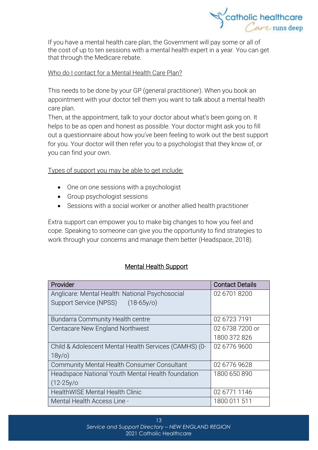

If you have a mental health care plan, the Government will pay some or all of the cost of up to ten sessions with a mental health expert in a year. You can get that through the [Medicare](https://headspace.org.au/blog/how-to-get-a-medicare-card-old/) rebate.

#### Who do I contact for a Mental Health Care Plan?

This needs to be done by your GP (general practitioner). When you book an appointment with your doctor tell them you want to talk about a mental health care plan.

Then, at the appointment, talk to your doctor about what's been going on. It helps to be as open and honest as possible. Your doctor might ask you to fill out a questionnaire about how you've been feeling to work out the best support for you. Your doctor will then refer you to a psychologist that they know of, or you can find your own.

Types of support you may be able to get include:

- One on one sessions with a psychologist
- Group psychologist sessions
- Sessions with a social worker or another allied health practitioner

Extra support can empower you to make big changes to how you feel and cope. Speaking to someone can give you the opportunity to find strategies to work through your concerns and manage them better (Headspace, 2018).

#### Mental Health Support

| Provider                                              | <b>Contact Details</b> |
|-------------------------------------------------------|------------------------|
| Anglicare: Mental Health: National Psychosocial       | 02 6701 8200           |
| Support Service (NPSS)<br>$(18-65y/c)$                |                        |
| <b>Bundarra Community Health centre</b>               | 02 6723 7191           |
| Centacare New England Northwest                       | 02 6738 7200 or        |
|                                                       | 1800 372 826           |
| Child & Adolescent Mental Health Services (CAMHS) (0- | 02 6776 9600           |
| $18y$ /o)                                             |                        |
| <b>Community Mental Health Consumer Consultant</b>    | 02 6776 9628           |
| Headspace National Youth Mental Health foundation     | 1800 650 890           |
| $(12 - 25y)$                                          |                        |
| <b>HealthWISE Mental Health Clinic</b>                | 02 6771 1146           |
| Mental Health Access Line -                           | 1800 011 511           |